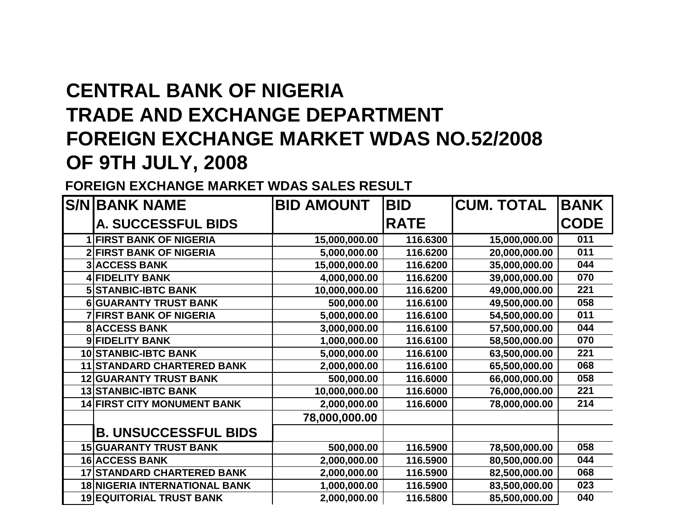# **CENTRAL BANK OF NIGERIA TRADE AND EXCHANGE DEPARTMENT FOREIGN EXCHANGE MARKET WDAS NO.52/2008OF 9TH JULY, 2008**

#### **FOREIGN EXCHANGE MARKET WDAS SALES RESULT**

| <b>S/N BANK NAME</b>                 | <b>BID AMOUNT</b> | <b>BID</b>  | <b>CUM. TOTAL</b> | <b>BANK</b> |
|--------------------------------------|-------------------|-------------|-------------------|-------------|
| <b>A. SUCCESSFUL BIDS</b>            |                   | <b>RATE</b> |                   | <b>CODE</b> |
| <b>1 FIRST BANK OF NIGERIA</b>       | 15,000,000.00     | 116.6300    | 15,000,000.00     | 011         |
| <b>2 FIRST BANK OF NIGERIA</b>       | 5,000,000.00      | 116.6200    | 20,000,000.00     | 011         |
| <b>3 ACCESS BANK</b>                 | 15,000,000.00     | 116.6200    | 35,000,000.00     | 044         |
| <b>4 FIDELITY BANK</b>               | 4,000,000.00      | 116.6200    | 39,000,000.00     | 070         |
| <b>5 STANBIC-IBTC BANK</b>           | 10,000,000.00     | 116.6200    | 49,000,000.00     | 221         |
| <b>6 GUARANTY TRUST BANK</b>         | 500,000.00        | 116.6100    | 49,500,000.00     | 058         |
| <b>7 FIRST BANK OF NIGERIA</b>       | 5,000,000.00      | 116.6100    | 54,500,000.00     | 011         |
| <b>8 ACCESS BANK</b>                 | 3,000,000.00      | 116.6100    | 57,500,000.00     | 044         |
| 9 FIDELITY BANK                      | 1,000,000.00      | 116.6100    | 58,500,000.00     | 070         |
| 10 STANBIC-IBTC BANK                 | 5,000,000.00      | 116.6100    | 63,500,000.00     | 221         |
| <b>11 STANDARD CHARTERED BANK</b>    | 2,000,000.00      | 116.6100    | 65,500,000.00     | 068         |
| <b>12 GUARANTY TRUST BANK</b>        | 500,000.00        | 116.6000    | 66,000,000.00     | 058         |
| <b>13 STANBIC-IBTC BANK</b>          | 10,000,000.00     | 116.6000    | 76,000,000.00     | 221         |
| <b>14 FIRST CITY MONUMENT BANK</b>   | 2,000,000.00      | 116.6000    | 78,000,000.00     | 214         |
|                                      | 78,000,000.00     |             |                   |             |
| <b>B. UNSUCCESSFUL BIDS</b>          |                   |             |                   |             |
| <b>15 GUARANTY TRUST BANK</b>        | 500,000.00        | 116.5900    | 78,500,000.00     | 058         |
| <b>16 ACCESS BANK</b>                | 2,000,000.00      | 116.5900    | 80,500,000.00     | 044         |
| <b>17 STANDARD CHARTERED BANK</b>    | 2,000,000.00      | 116.5900    | 82,500,000.00     | 068         |
| <b>18 NIGERIA INTERNATIONAL BANK</b> | 1,000,000.00      | 116.5900    | 83,500,000.00     | 023         |
| <b>19 EQUITORIAL TRUST BANK</b>      | 2,000,000.00      | 116.5800    | 85,500,000.00     | 040         |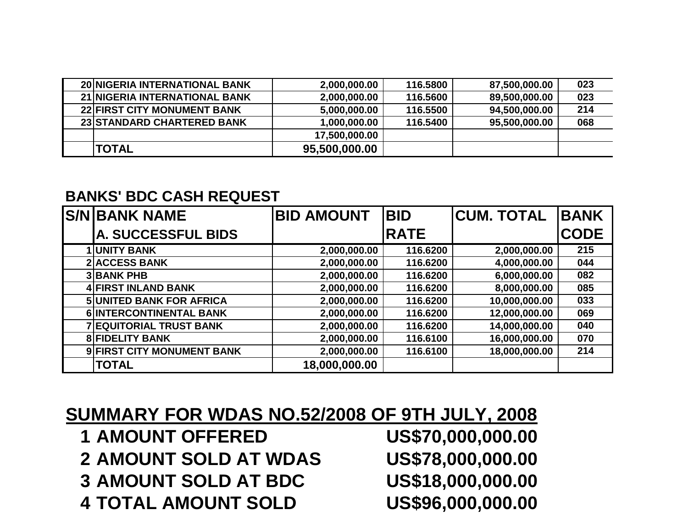| <b>'TOTAL</b>                        | 95,500,000.00 |          |               |     |
|--------------------------------------|---------------|----------|---------------|-----|
|                                      | 17,500,000.00 |          |               |     |
| 23 STANDARD CHARTERED BANK           | 1,000,000.00  | 116.5400 | 95,500,000.00 | 068 |
| <b>22 FIRST CITY MONUMENT BANK</b>   | 5,000,000.00  | 116.5500 | 94,500,000.00 | 214 |
| <b>21 NIGERIA INTERNATIONAL BANK</b> | 2,000,000.00  | 116,5600 | 89,500,000.00 | 023 |
| <b>20 NIGERIA INTERNATIONAL BANK</b> | 2,000,000.00  | 116,5800 | 87,500,000.00 | 023 |

#### **BANKS' BDC CASH REQUEST**

| <b>S/N BANK NAME</b>            | <b>BID AMOUNT</b> | <b>BID</b>  | <b>CUM. TOTAL</b> | <b>BANK</b> |
|---------------------------------|-------------------|-------------|-------------------|-------------|
| <b>A. SUCCESSFUL BIDS</b>       |                   | <b>RATE</b> |                   | <b>CODE</b> |
| <b>1 UNITY BANK</b>             | 2,000,000.00      | 116.6200    | 2,000,000.00      | 215         |
| 2 ACCESS BANK                   | 2,000,000.00      | 116.6200    | 4,000,000.00      | 044         |
| <b>3 BANK PHB</b>               | 2,000,000.00      | 116.6200    | 6,000,000.00      | 082         |
| <b>4 FIRST INLAND BANK</b>      | 2,000,000.00      | 116.6200    | 8,000,000.00      | 085         |
| <b>5 UNITED BANK FOR AFRICA</b> | 2,000,000.00      | 116.6200    | 10,000,000.00     | 033         |
| 6 INTERCONTINENTAL BANK         | 2,000,000.00      | 116.6200    | 12,000,000.00     | 069         |
| <b>7 EQUITORIAL TRUST BANK</b>  | 2,000,000.00      | 116.6200    | 14,000,000.00     | 040         |
| <b>8 FIDELITY BANK</b>          | 2,000,000.00      | 116.6100    | 16,000,000.00     | 070         |
| 9 FIRST CITY MONUMENT BANK      | 2,000,000.00      | 116.6100    | 18,000,000.00     | 214         |
| <b>TOTAL</b>                    | 18,000,000.00     |             |                   |             |

### **SUMMARY FOR WDAS NO.52/2008 OF 9TH JULY, 2008**

**1 AMOUNT OFFERED 2 AMOUNT SOLD AT WDAS 3** AMOUNT SOLD AT BDC **4 TOTAL AMOUNT SOLD** 

US\$70,000,000.00 US\$78,000,000.00 US\$18,000,000.00 US\$96,000,000.00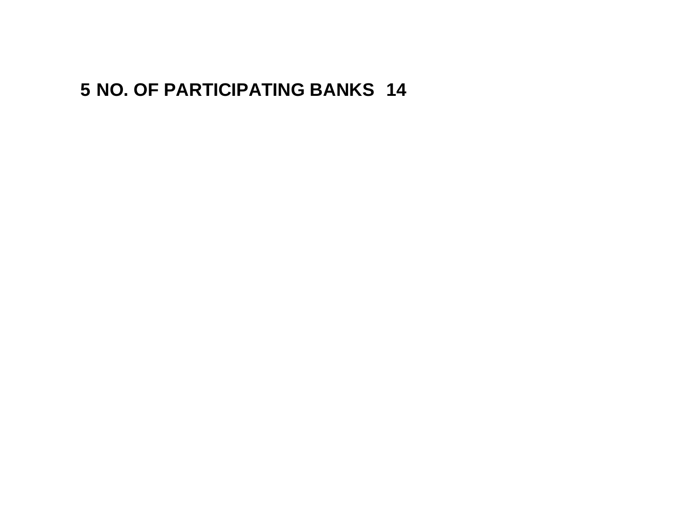## **NO. OF PARTICIPATING BANKS <sup>14</sup>**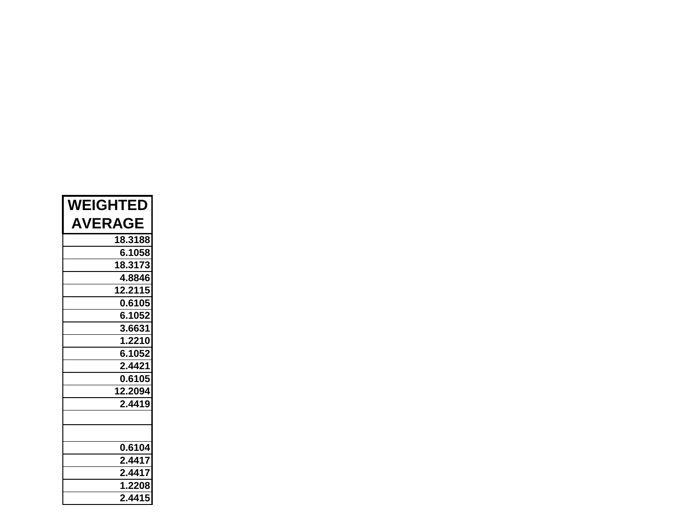| <b>WEIGHTED</b> |
|-----------------|
| <b>AVERAGE</b>  |
| 18.3188         |
| 6.1058          |
| 18.3173         |
| 4.8846          |
| 12.2115         |
| 0.6105          |
| 6.1052          |
| 3.6631          |
| 1.2210          |
| 6.1052          |
| 2.4421          |
| 0.6105          |
| 12.2094         |
| 2.4419          |
|                 |
|                 |
| 0.6104          |
| 2.4417          |
| 2.4417          |
| 1.2208          |
| 2.4415          |